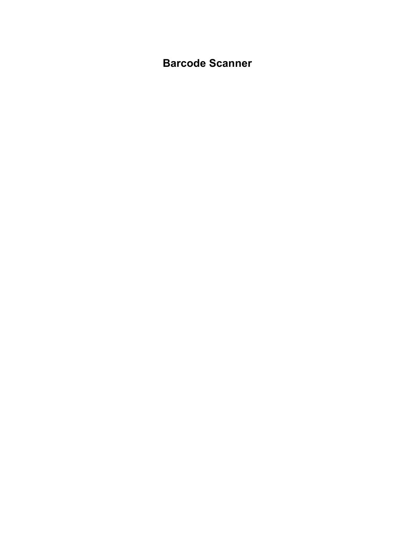Barcode Scanner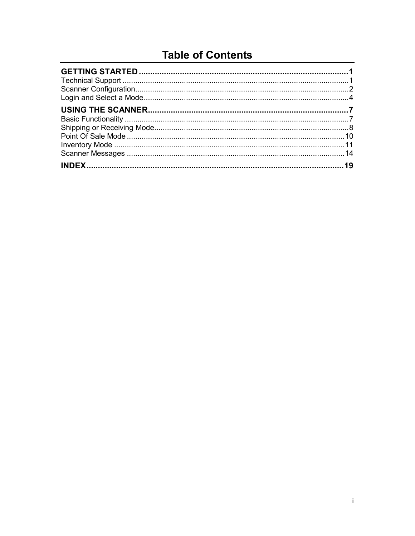### **Table of Contents**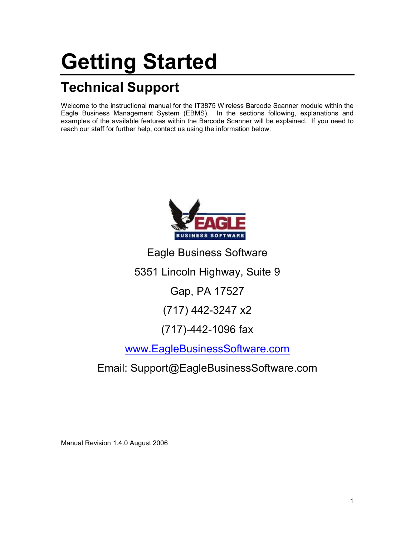# Getting Started

## Technical Support

Welcome to the instructional manual for the IT3875 Wireless Barcode Scanner module within the Eagle Business Management System (EBMS). In the sections following, explanations and examples of the available features within the Barcode Scanner will be explained. If you need to reach our staff for further help, contact us using the information below:



Eagle Business Software

5351 Lincoln Highway, Suite 9

Gap, PA 17527

(717) 442-3247 x2

### (717)-442-1096 fax

www.EagleBusinessSoftware.com

Email: Support@EagleBusinessSoftware.com

Manual Revision 1.4.0 August 2006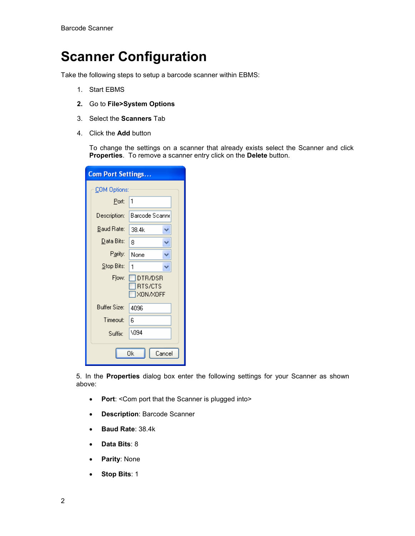### Scanner Configuration

Take the following steps to setup a barcode scanner within EBMS:

- 1. Start EBMS
- 2. Go to File>System Options
- 3. Select the Scanners Tab
- 4. Click the Add button

To change the settings on a scanner that already exists select the Scanner and click Properties. To remove a scanner entry click on the Delete button.

| <b>Com Port Settings</b> |                                       |  |  |  |
|--------------------------|---------------------------------------|--|--|--|
| COM Options:             |                                       |  |  |  |
| Port:                    | 1                                     |  |  |  |
| Description:             | Barcode Scanne                        |  |  |  |
| <b>Baud Rate:</b>        | 38.4k<br>v                            |  |  |  |
| Data Bits:               | 8                                     |  |  |  |
| Parity:                  | None                                  |  |  |  |
| Stop Bits:               | 1                                     |  |  |  |
| Flow:                    | DTR/DSR<br><b>RTS/CTS</b><br>XON/XOFF |  |  |  |
| <b>Buffer Size:</b>      | 4096                                  |  |  |  |
| Timeout:                 | 6                                     |  |  |  |
| Suffix:                  | 1094                                  |  |  |  |
| Οk<br>Cancel             |                                       |  |  |  |

5. In the Properties dialog box enter the following settings for your Scanner as shown above:

- Port: < Com port that the Scanner is plugged into >
- Description: Barcode Scanner
- Baud Rate: 38.4k
- Data Bits: 8
- Parity: None
- Stop Bits: 1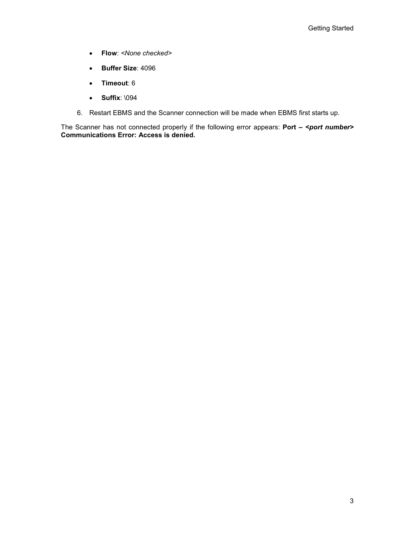- Flow: <None checked>
- Buffer Size: 4096
- Timeout: 6
- Suffix: \094
- 6. Restart EBMS and the Scanner connection will be made when EBMS first starts up.

The Scanner has not connected properly if the following error appears: Port  $-$  <port number> Communications Error: Access is denied.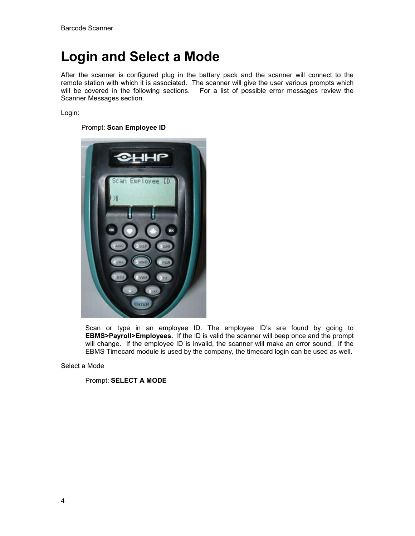### Login and Select a Mode

After the scanner is configured plug in the battery pack and the scanner will connect to the remote station with which it is associated. The scanner will give the user various prompts which will be covered in the following sections. For a list of possible error messages review the Scanner Messages section.

Login:

Prompt: Scan Employee ID



Scan or type in an employee ID. The employee ID's are found by going to EBMS>Payroll>Employees. If the ID is valid the scanner will beep once and the prompt will change. If the employee ID is invalid, the scanner will make an error sound. If the EBMS Timecard module is used by the company, the timecard login can be used as well.

Select a Mode

Prompt: SELECT A MODE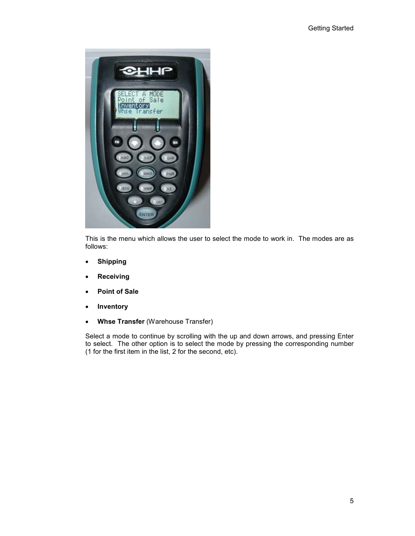

This is the menu which allows the user to select the mode to work in. The modes are as follows:

- Shipping
- Receiving
- Point of Sale
- Inventory
- Whse Transfer (Warehouse Transfer)

Select a mode to continue by scrolling with the up and down arrows, and pressing Enter to select. The other option is to select the mode by pressing the corresponding number (1 for the first item in the list, 2 for the second, etc).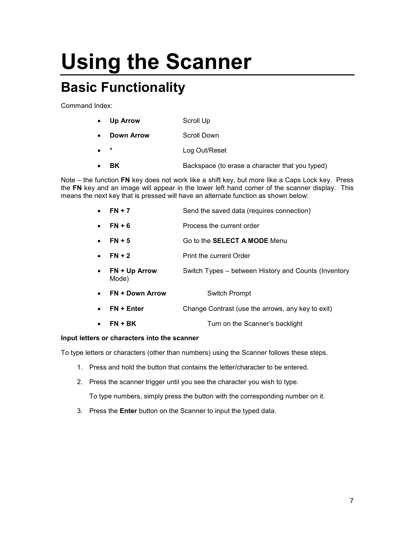# Using the Scanner

## Basic Functionality

Command Index:

- Up Arrow Scroll Up
- **Down Arrow Scroll Down**
- Log Out/Reset
- **BK** Backspace (to erase a character that you typed)

Note – the function FN key does not work like a shift key, but more like a Caps Lock key. Press the FN key and an image will appear in the lower left hand corner of the scanner display. This means the next key that is pressed will have an alternate function as shown below:

- **FN + 7** Send the saved data (requires connection)
- FN + 6 Process the current order
- **FN + 5** Go to the **SELECT A MODE** Menu
- **FN + 2** Print the current Order
- FN + Up Arrow Switch Types between History and Counts (Inventory Mode)
- FN + Down Arrow Switch Prompt
- FN + Enter Change Contrast (use the arrows, any key to exit)
- FN + BK Turn on the Scanner's backlight

#### Input letters or characters into the scanner

To type letters or characters (other than numbers) using the Scanner follows these steps.

- 1. Press and hold the button that contains the letter/character to be entered.
- 2. Press the scanner trigger until you see the character you wish to type.

To type numbers, simply press the button with the corresponding number on it.

3. Press the Enter button on the Scanner to input the typed data.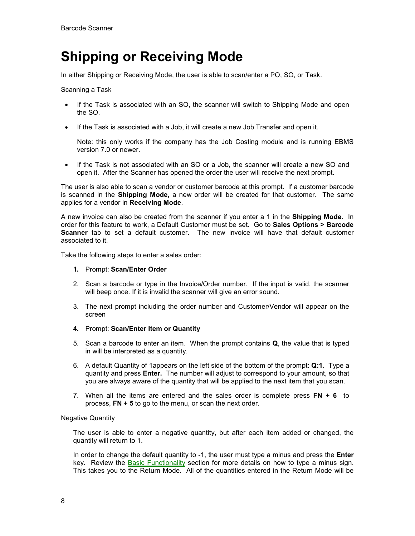### Shipping or Receiving Mode

In either Shipping or Receiving Mode, the user is able to scan/enter a PO, SO, or Task.

Scanning a Task

- If the Task is associated with an SO, the scanner will switch to Shipping Mode and open the SO.
- If the Task is associated with a Job, it will create a new Job Transfer and open it.

Note: this only works if the company has the Job Costing module and is running EBMS version 7.0 or newer.

• If the Task is not associated with an SO or a Job, the scanner will create a new SO and open it. After the Scanner has opened the order the user will receive the next prompt.

The user is also able to scan a vendor or customer barcode at this prompt. If a customer barcode is scanned in the Shipping Mode, a new order will be created for that customer. The same applies for a vendor in Receiving Mode.

A new invoice can also be created from the scanner if you enter a 1 in the **Shipping Mode**. In order for this feature to work, a Default Customer must be set. Go to **Sales Options > Barcode** Scanner tab to set a default customer. The new invoice will have that default customer associated to it.

Take the following steps to enter a sales order:

#### 1. Prompt: Scan/Enter Order

- 2. Scan a barcode or type in the Invoice/Order number. If the input is valid, the scanner will beep once. If it is invalid the scanner will give an error sound.
- 3. The next prompt including the order number and Customer/Vendor will appear on the screen
- 4. Prompt: Scan/Enter Item or Quantity
- 5. Scan a barcode to enter an item. When the prompt contains Q, the value that is typed in will be interpreted as a quantity.
- 6. A default Quantity of 1appears on the left side of the bottom of the prompt: Q:1. Type a quantity and press Enter. The number will adjust to correspond to your amount, so that you are always aware of the quantity that will be applied to the next item that you scan.
- 7. When all the items are entered and the sales order is complete press  $FN + 6$  to process,  $FN + 5$  to go to the menu, or scan the next order.

#### Negative Quantity

The user is able to enter a negative quantity, but after each item added or changed, the quantity will return to 1.

In order to change the default quantity to -1, the user must type a minus and press the **Enter** key. Review the Basic Functionality section for more details on how to type a minus sign. This takes you to the Return Mode. All of the quantities entered in the Return Mode will be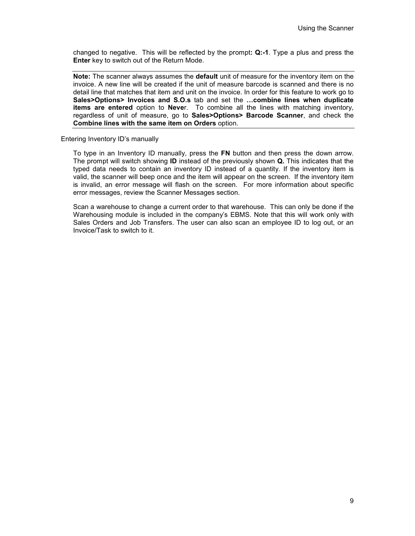changed to negative. This will be reflected by the prompt: Q:-1. Type a plus and press the Enter key to switch out of the Return Mode.

Note: The scanner always assumes the **default** unit of measure for the inventory item on the invoice. A new line will be created if the unit of measure barcode is scanned and there is no detail line that matches that item and unit on the invoice. In order for this feature to work go to Sales>Options> Invoices and S.O.s tab and set the …combine lines when duplicate items are entered option to Never. To combine all the lines with matching inventory, regardless of unit of measure, go to Sales>Options> Barcode Scanner, and check the Combine lines with the same item on Orders option.

#### Entering Inventory ID's manually

To type in an Inventory ID manually, press the FN button and then press the down arrow. The prompt will switch showing **ID** instead of the previously shown **Q**. This indicates that the typed data needs to contain an inventory ID instead of a quantity. If the inventory item is valid, the scanner will beep once and the item will appear on the screen. If the inventory item is invalid, an error message will flash on the screen. For more information about specific error messages, review the Scanner Messages section.

Scan a warehouse to change a current order to that warehouse. This can only be done if the Warehousing module is included in the company's EBMS. Note that this will work only with Sales Orders and Job Transfers. The user can also scan an employee ID to log out, or an Invoice/Task to switch to it.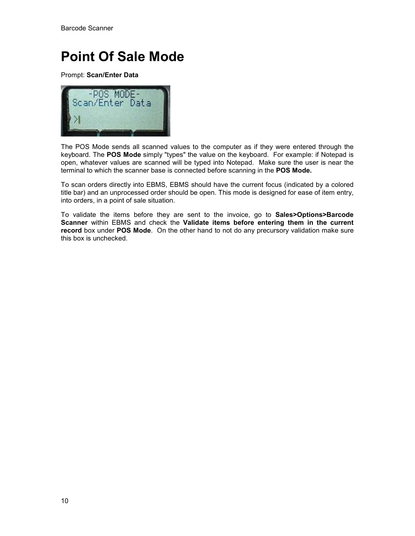### Point Of Sale Mode

Prompt: Scan/Enter Data



The POS Mode sends all scanned values to the computer as if they were entered through the keyboard. The POS Mode simply "types" the value on the keyboard. For example: if Notepad is open, whatever values are scanned will be typed into Notepad. Make sure the user is near the terminal to which the scanner base is connected before scanning in the POS Mode.

To scan orders directly into EBMS, EBMS should have the current focus (indicated by a colored title bar) and an unprocessed order should be open. This mode is designed for ease of item entry, into orders, in a point of sale situation.

To validate the items before they are sent to the invoice, go to Sales>Options>Barcode Scanner within EBMS and check the Validate items before entering them in the current record box under POS Mode. On the other hand to not do any precursory validation make sure this box is unchecked.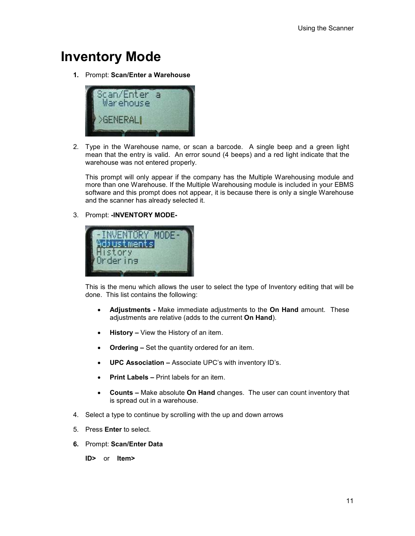### Inventory Mode

1. Prompt: Scan/Enter a Warehouse



2. Type in the Warehouse name, or scan a barcode. A single beep and a green light mean that the entry is valid. An error sound (4 beeps) and a red light indicate that the warehouse was not entered properly.

This prompt will only appear if the company has the Multiple Warehousing module and more than one Warehouse. If the Multiple Warehousing module is included in your EBMS software and this prompt does not appear, it is because there is only a single Warehouse and the scanner has already selected it.

3. Prompt: -INVENTORY MODE-



This is the menu which allows the user to select the type of Inventory editing that will be done. This list contains the following:

- Adjustments Make immediate adjustments to the On Hand amount. These adjustments are relative (adds to the current On Hand).
- History View the History of an item.
- Ordering Set the quantity ordered for an item.
- UPC Association Associate UPC's with inventory ID's.
- Print Labels Print labels for an item.
- Counts Make absolute On Hand changes. The user can count inventory that is spread out in a warehouse.
- 4. Select a type to continue by scrolling with the up and down arrows
- 5. Press Enter to select.
- 6. Prompt: Scan/Enter Data

ID> or Item>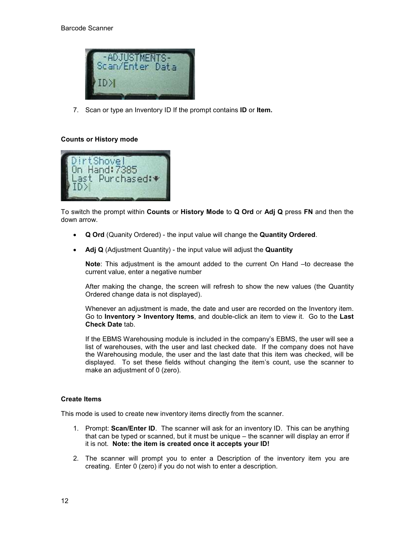

7. Scan or type an Inventory ID If the prompt contains ID or Item.

#### Counts or History mode



To switch the prompt within Counts or History Mode to Q Ord or Adj Q press FN and then the down arrow.

- Q Ord (Quanity Ordered) the input value will change the Quantity Ordered.
- Adj Q (Adjustment Quantity) the input value will adjust the Quantity

Note: This adjustment is the amount added to the current On Hand -to decrease the current value, enter a negative number

After making the change, the screen will refresh to show the new values (the Quantity Ordered change data is not displayed).

Whenever an adjustment is made, the date and user are recorded on the Inventory item. Go to Inventory > Inventory Items, and double-click an item to view it. Go to the Last Check Date tab.

If the EBMS Warehousing module is included in the company's EBMS, the user will see a list of warehouses, with the user and last checked date. If the company does not have the Warehousing module, the user and the last date that this item was checked, will be displayed. To set these fields without changing the item's count, use the scanner to make an adjustment of 0 (zero).

#### Create Items

This mode is used to create new inventory items directly from the scanner.

- 1. Prompt: Scan/Enter ID. The scanner will ask for an inventory ID. This can be anything that can be typed or scanned, but it must be unique – the scanner will display an error if it is not. Note: the item is created once it accepts your ID!
- 2. The scanner will prompt you to enter a Description of the inventory item you are creating. Enter 0 (zero) if you do not wish to enter a description.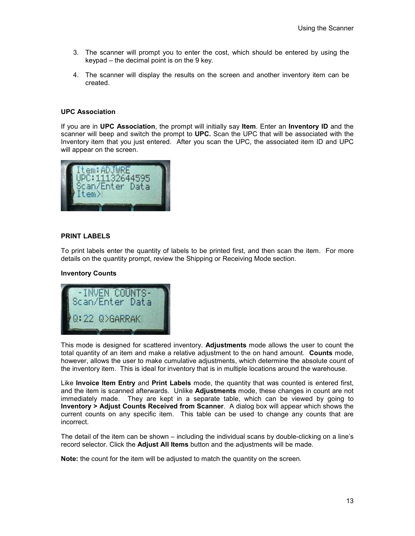- 3. The scanner will prompt you to enter the cost, which should be entered by using the keypad – the decimal point is on the 9 key.
- 4. The scanner will display the results on the screen and another inventory item can be created.

#### UPC Association

If you are in UPC Association, the prompt will initially say Item. Enter an Inventory ID and the scanner will beep and switch the prompt to UPC. Scan the UPC that will be associated with the Inventory item that you just entered. After you scan the UPC, the associated item ID and UPC will appear on the screen.



#### PRINT LABELS

To print labels enter the quantity of labels to be printed first, and then scan the item. For more details on the quantity prompt, review the Shipping or Receiving Mode section.

#### Inventory Counts



This mode is designed for scattered inventory. **Adjustments** mode allows the user to count the total quantity of an item and make a relative adjustment to the on hand amount. Counts mode, however, allows the user to make cumulative adjustments, which determine the absolute count of the inventory item. This is ideal for inventory that is in multiple locations around the warehouse.

Like Invoice Item Entry and Print Labels mode, the quantity that was counted is entered first, and the item is scanned afterwards. Unlike **Adjustments** mode, these changes in count are not immediately made. They are kept in a separate table, which can be viewed by going to Inventory > Adjust Counts Received from Scanner. A dialog box will appear which shows the current counts on any specific item. This table can be used to change any counts that are incorrect.

The detail of the item can be shown – including the individual scans by double-clicking on a line's record selector. Click the **Adjust All Items** button and the adjustments will be made.

Note: the count for the item will be adjusted to match the quantity on the screen.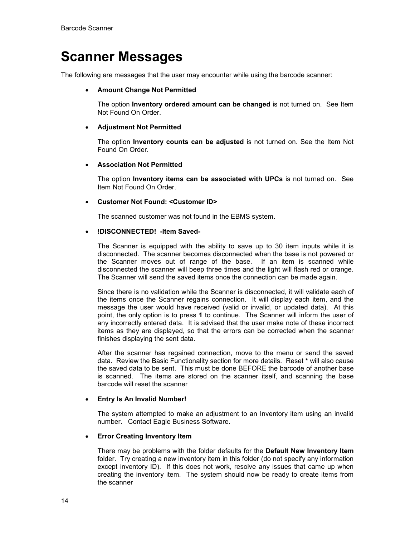### Scanner Messages

The following are messages that the user may encounter while using the barcode scanner:

#### • Amount Change Not Permitted

The option Inventory ordered amount can be changed is not turned on. See Item Not Found On Order.

#### • Adjustment Not Permitted

The option Inventory counts can be adjusted is not turned on. See the Item Not Found On Order.

#### • Association Not Permitted

The option Inventory items can be associated with UPCs is not turned on. See Item Not Found On Order.

#### • Customer Not Found: <Customer ID>

The scanned customer was not found in the EBMS system.

#### • !DISCONNECTED! -Item Saved-

The Scanner is equipped with the ability to save up to 30 item inputs while it is disconnected. The scanner becomes disconnected when the base is not powered or the Scanner moves out of range of the base. If an item is scanned while disconnected the scanner will beep three times and the light will flash red or orange. The Scanner will send the saved items once the connection can be made again.

Since there is no validation while the Scanner is disconnected, it will validate each of the items once the Scanner regains connection. It will display each item, and the message the user would have received (valid or invalid, or updated data). At this point, the only option is to press 1 to continue. The Scanner will inform the user of any incorrectly entered data. It is advised that the user make note of these incorrect items as they are displayed, so that the errors can be corrected when the scanner finishes displaying the sent data.

After the scanner has regained connection, move to the menu or send the saved data. Review the Basic Functionality section for more details. Reset \* will also cause the saved data to be sent. This must be done BEFORE the barcode of another base is scanned. The items are stored on the scanner itself, and scanning the base barcode will reset the scanner

#### • Entry Is An Invalid Number!

The system attempted to make an adjustment to an Inventory item using an invalid number. Contact Eagle Business Software.

#### • Error Creating Inventory Item

There may be problems with the folder defaults for the Default New Inventory Item folder. Try creating a new inventory item in this folder (do not specify any information except inventory ID). If this does not work, resolve any issues that came up when creating the inventory item. The system should now be ready to create items from the scanner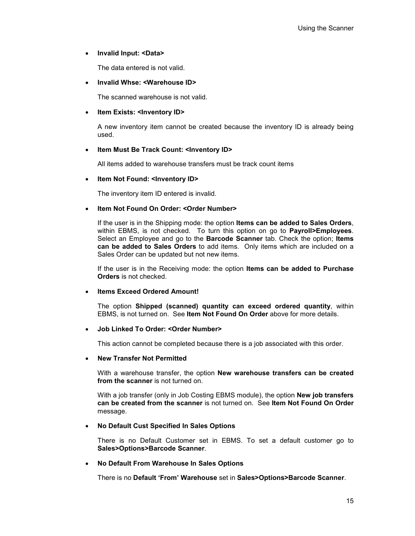#### • Invalid Input: <Data>

The data entered is not valid.

#### • Invalid Whse: <Warehouse ID>

The scanned warehouse is not valid.

#### • Item Exists: <Inventory ID>

A new inventory item cannot be created because the inventory ID is already being used.

#### • Item Must Be Track Count: <Inventory ID>

All items added to warehouse transfers must be track count items

#### • Item Not Found: <Inventory ID>

The inventory item ID entered is invalid.

#### • Item Not Found On Order: <Order Number>

If the user is in the Shipping mode: the option Items can be added to Sales Orders, within EBMS, is not checked. To turn this option on go to Payroll>Employees. Select an Employee and go to the **Barcode Scanner** tab. Check the option; Items can be added to Sales Orders to add items. Only items which are included on a Sales Order can be updated but not new items.

If the user is in the Receiving mode: the option Items can be added to Purchase Orders is not checked.

#### Items Exceed Ordered Amount!

The option Shipped (scanned) quantity can exceed ordered quantity, within EBMS, is not turned on. See Item Not Found On Order above for more details.

#### • Job Linked To Order: <Order Number>

This action cannot be completed because there is a job associated with this order.

#### • New Transfer Not Permitted

With a warehouse transfer, the option **New warehouse transfers can be created** from the scanner is not turned on.

With a job transfer (only in Job Costing EBMS module), the option **New job transfers** can be created from the scanner is not turned on. See Item Not Found On Order message.

#### • No Default Cust Specified In Sales Options

There is no Default Customer set in EBMS. To set a default customer go to Sales>Options>Barcode Scanner.

#### • No Default From Warehouse In Sales Options

There is no Default 'From' Warehouse set in Sales>Options>Barcode Scanner.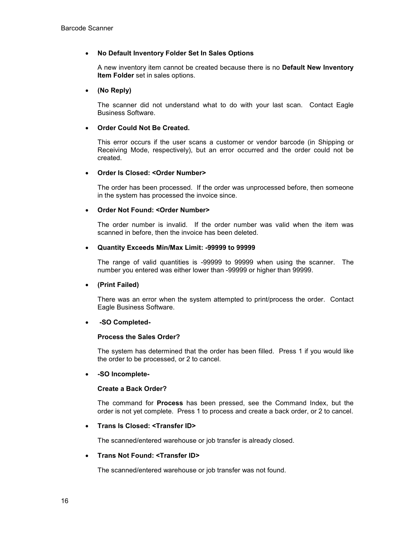#### • No Default Inventory Folder Set In Sales Options

A new inventory item cannot be created because there is no Default New Inventory Item Folder set in sales options.

#### • (No Reply)

The scanner did not understand what to do with your last scan. Contact Eagle Business Software.

#### • Order Could Not Be Created.

This error occurs if the user scans a customer or vendor barcode (in Shipping or Receiving Mode, respectively), but an error occurred and the order could not be created.

#### • Order Is Closed: <Order Number>

The order has been processed. If the order was unprocessed before, then someone in the system has processed the invoice since.

#### • Order Not Found: <Order Number>

The order number is invalid. If the order number was valid when the item was scanned in before, then the invoice has been deleted.

#### • Quantity Exceeds Min/Max Limit: -99999 to 99999

The range of valid quantities is -99999 to 99999 when using the scanner. The number you entered was either lower than -99999 or higher than 99999.

#### • (Print Failed)

There was an error when the system attempted to print/process the order. Contact Eagle Business Software.

#### • -SO Completed-

#### Process the Sales Order?

The system has determined that the order has been filled. Press 1 if you would like the order to be processed, or 2 to cancel.

#### • -SO Incomplete-

#### Create a Back Order?

The command for Process has been pressed, see the Command Index, but the order is not yet complete. Press 1 to process and create a back order, or 2 to cancel.

#### • Trans Is Closed: <Transfer ID>

The scanned/entered warehouse or job transfer is already closed.

#### • Trans Not Found: <Transfer ID>

The scanned/entered warehouse or job transfer was not found.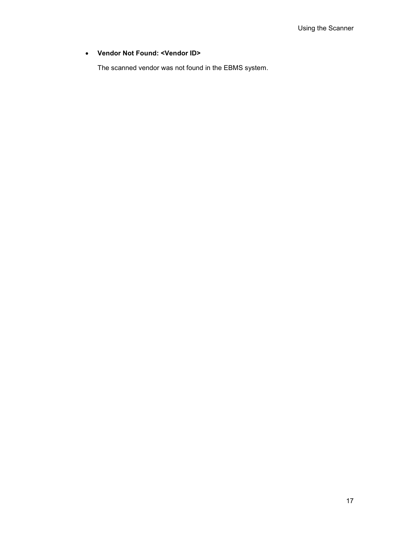#### • Vendor Not Found: <Vendor ID>

The scanned vendor was not found in the EBMS system.